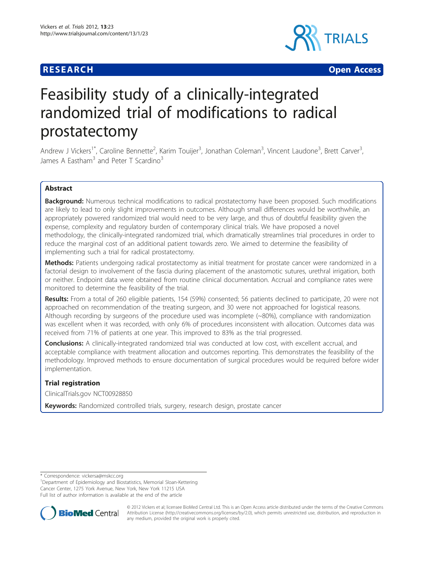

**RESEARCH CONSTRUCTION CONTROL** 

# Feasibility study of a clinically-integrated randomized trial of modifications to radical prostatectomy

Andrew J Vickers<sup>1\*</sup>, Caroline Bennette<sup>2</sup>, Karim Touijer<sup>3</sup>, Jonathan Coleman<sup>3</sup>, Vincent Laudone<sup>3</sup>, Brett Carver<sup>3</sup> , James A Eastham<sup>3</sup> and Peter T Scardino<sup>3</sup>

# Abstract

**Background:** Numerous technical modifications to radical prostatectomy have been proposed. Such modifications are likely to lead to only slight improvements in outcomes. Although small differences would be worthwhile, an appropriately powered randomized trial would need to be very large, and thus of doubtful feasibility given the expense, complexity and regulatory burden of contemporary clinical trials. We have proposed a novel methodology, the clinically-integrated randomized trial, which dramatically streamlines trial procedures in order to reduce the marginal cost of an additional patient towards zero. We aimed to determine the feasibility of implementing such a trial for radical prostatectomy.

Methods: Patients undergoing radical prostatectomy as initial treatment for prostate cancer were randomized in a factorial design to involvement of the fascia during placement of the anastomotic sutures, urethral irrigation, both or neither. Endpoint data were obtained from routine clinical documentation. Accrual and compliance rates were monitored to determine the feasibility of the trial.

Results: From a total of 260 eligible patients, 154 (59%) consented; 56 patients declined to participate, 20 were not approached on recommendation of the treating surgeon, and 30 were not approached for logistical reasons. Although recording by surgeons of the procedure used was incomplete (~80%), compliance with randomization was excellent when it was recorded, with only 6% of procedures inconsistent with allocation. Outcomes data was received from 71% of patients at one year. This improved to 83% as the trial progressed.

Conclusions: A clinically-integrated randomized trial was conducted at low cost, with excellent accrual, and acceptable compliance with treatment allocation and outcomes reporting. This demonstrates the feasibility of the methodology. Improved methods to ensure documentation of surgical procedures would be required before wider implementation.

# Trial registration

ClinicalTrials.gov [NCT00928850](http://www.clinicaltrials.gov/ct2/show/NCT00928850)

Keywords: Randomized controlled trials, surgery, research design, prostate cancer

<sup>&</sup>lt;sup>1</sup>Department of Epidemiology and Biostatistics, Memorial Sloan-Kettering Cancer Center, 1275 York Avenue, New York, New York 11215 USA Full list of author information is available at the end of the article



© 2012 Vickers et al; licensee BioMed Central Ltd. This is an Open Access article distributed under the terms of the Creative Commons Attribution License [\(http://creativecommons.org/licenses/by/2.0](http://creativecommons.org/licenses/by/2.0)), which permits unrestricted use, distribution, and reproduction in any medium, provided the original work is properly cited.

<sup>\*</sup> Correspondence: [vickersa@mskcc.org](mailto:vickersa@mskcc.org)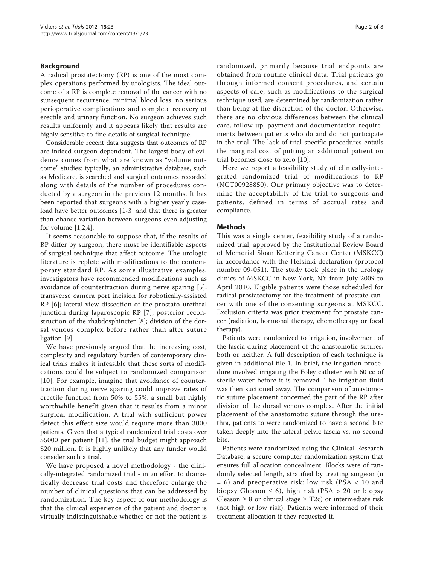# Background

A radical prostatectomy (RP) is one of the most complex operations performed by urologists. The ideal outcome of a RP is complete removal of the cancer with no sunsequent recurrence, minimal blood loss, no serious perioperative complications and complete recovery of erectile and urinary function. No surgeon achieves such results uniformly and it appears likely that results are highly sensitive to fine details of surgical technique.

Considerable recent data suggests that outcomes of RP are indeed surgeon dependent. The largest body of evidence comes from what are known as "volume outcome" studies: typically, an administrative database, such as Medicare, is searched and surgical outcomes recorded along with details of the number of procedures conducted by a surgeon in the previous 12 months. It has been reported that surgeons with a higher yearly caseload have better outcomes [[1](#page-6-0)-[3\]](#page-6-0) and that there is greater than chance variation between surgeons even adjusting for volume  $[1,2,4]$  $[1,2,4]$ .

It seems reasonable to suppose that, if the results of RP differ by surgeon, there must be identifiable aspects of surgical technique that affect outcome. The urologic literature is replete with modifications to the contemporary standard RP. As some illustrative examples, investigators have recommended modifications such as avoidance of countertraction during nerve sparing [[5](#page-7-0)]; transverse camera port incision for robotically-assisted RP [[6\]](#page-7-0); lateral view dissection of the prostato-urethral junction during laparoscopic RP [[7](#page-7-0)]; posterior reconstruction of the rhabdosphincter [\[8](#page-7-0)]; division of the dorsal venous complex before rather than after suture ligation [\[9](#page-7-0)].

We have previously argued that the increasing cost, complexity and regulatory burden of contemporary clinical trials makes it infeasible that these sorts of modifications could be subject to randomized comparison [[10](#page-7-0)]. For example, imagine that avoidance of countertraction during nerve sparing could improve rates of erectile function from 50% to 55%, a small but highly worthwhile benefit given that it results from a minor surgical modification. A trial with sufficient power detect this effect size would require more than 3000 patients. Given that a typical randomized trial costs over \$5000 per patient [\[11](#page-7-0)], the trial budget might approach \$20 million. It is highly unlikely that any funder would consider such a trial.

We have proposed a novel methodology - the clinically-integrated randomized trial - in an effort to dramatically decrease trial costs and therefore enlarge the number of clinical questions that can be addressed by randomization. The key aspect of our methodology is that the clinical experience of the patient and doctor is virtually indistinguishable whether or not the patient is randomized, primarily because trial endpoints are obtained from routine clinical data. Trial patients go through informed consent procedures, and certain aspects of care, such as modifications to the surgical technique used, are determined by randomization rather than being at the discretion of the doctor. Otherwise, there are no obvious differences between the clinical care, follow-up, payment and documentation requirements between patients who do and do not participate in the trial. The lack of trial specific procedures entails the marginal cost of putting an additional patient on trial becomes close to zero [\[10](#page-7-0)].

Here we report a feasibility study of clinically-integrated randomized trial of modifications to RP (NCT00928850). Our primary objective was to determine the acceptability of the trial to surgeons and patients, defined in terms of accrual rates and compliance.

# Methods

This was a single center, feasibility study of a randomized trial, approved by the Institutional Review Board of Memorial Sloan Kettering Cancer Center (MSKCC) in accordance with the Helsinki declaration (protocol number 09-051). The study took place in the urology clinics of MSKCC in New York, NY from July 2009 to April 2010. Eligible patients were those scheduled for radical prostatectomy for the treatment of prostate cancer with one of the consenting surgeons at MSKCC. Exclusion criteria was prior treatment for prostate cancer (radiation, hormonal therapy, chemotherapy or focal therapy).

Patients were randomized to irrigation, involvement of the fascia during placement of the anastomotic sutures, both or neither. A full description of each technique is given in additional file [1.](#page-6-0) In brief, the irrigation procedure involved irrigating the Foley catheter with 60 cc of sterile water before it is removed. The irrigation fluid was then suctioned away. The comparison of anastomotic suture placement concerned the part of the RP after division of the dorsal venous complex. After the initial placement of the anastomotic suture through the urethra, patients to were randomized to have a second bite taken deeply into the lateral pelvic fascia vs. no second bite.

Patients were randomized using the Clinical Research Database, a secure computer randomization system that ensures full allocation concealment. Blocks were of randomly selected length, stratified by treating surgeon (n = 6) and preoperative risk: low risk (PSA < 10 and biopsy Gleason  $\leq 6$ ), high risk (PSA > 20 or biopsy Gleason  $\geq 8$  or clinical stage  $\geq$  T2c) or intermediate risk (not high or low risk). Patients were informed of their treatment allocation if they requested it.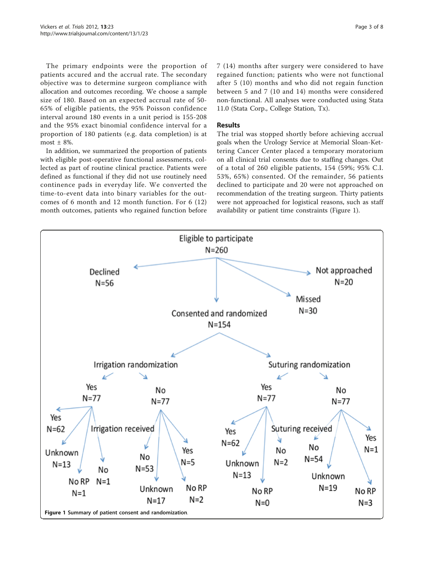<span id="page-2-0"></span>The primary endpoints were the proportion of patients accured and the accrual rate. The secondary objective was to determine surgeon compliance with allocation and outcomes recording. We choose a sample size of 180. Based on an expected accrual rate of 50- 65% of eligible patients, the 95% Poisson confidence interval around 180 events in a unit period is 155-208 and the 95% exact binomial confidence interval for a proportion of 180 patients (e.g. data completion) is at most  $\pm$  8%.

In addition, we summarized the proportion of patients with eligible post-operative functional assessments, collected as part of routine clinical practice. Patients were defined as functional if they did not use routinely need continence pads in everyday life. We converted the time-to-event data into binary variables for the outcomes of 6 month and 12 month function. For 6 (12) month outcomes, patients who regained function before 7 (14) months after surgery were considered to have regained function; patients who were not functional after 5 (10) months and who did not regain function between 5 and 7 (10 and 14) months were considered non-functional. All analyses were conducted using Stata 11.0 (Stata Corp., College Station, Tx).

# Results

The trial was stopped shortly before achieving accrual goals when the Urology Service at Memorial Sloan-Kettering Cancer Center placed a temporary moratorium on all clinical trial consents due to staffing changes. Out of a total of 260 eligible patients, 154 (59%; 95% C.I. 53%, 65%) consented. Of the remainder, 56 patients declined to participate and 20 were not approached on recommendation of the treating surgeon. Thirty patients were not approached for logistical reasons, such as staff availability or patient time constraints (Figure 1).

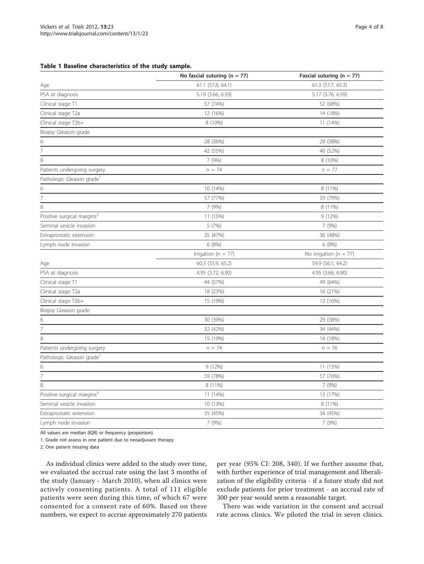#### <span id="page-3-0"></span>Table 1 Baseline characteristics of the study sample.

|                                        | No fascial suturing ( $n = 77$ ) | Fascial suturing ( $n = 77$ ) |  |
|----------------------------------------|----------------------------------|-------------------------------|--|
| Age                                    | 61.1 (57.8, 64.1)                | 61.3 (57.7, 65.3)             |  |
| PSA at diagnosis                       | 5.19 (3.66, 6.59)                | 5.17 (3.76, 6.59)             |  |
| Clinical stage T1                      | 57 (74%)                         | 52 (68%)                      |  |
| Clinical stage T2a                     | 12 (16%)                         | 14 (18%)                      |  |
| Clinical stage T2b+                    | 8 (10%)                          | 11 (14%)                      |  |
| Biopsy Gleason grade                   |                                  |                               |  |
| 6                                      | 28 (36%)                         | 29 (38%)                      |  |
| $\overline{7}$                         | 42 (55%)                         | 40 (52%)                      |  |
| 8                                      | 7 (9%)                           | 8 (10%)                       |  |
| Patients undergoing surgery            | $n = 74$                         | $n = 77$                      |  |
| Pathologic Gleason grade <sup>1</sup>  |                                  |                               |  |
| 6                                      | 10 (14%)                         | 8 (11%)                       |  |
| 7                                      | 57 (77%)                         | 59 (79%)                      |  |
| 8                                      | 7 (9%)                           | 8 (11%)                       |  |
| Positive surgical margins <sup>2</sup> | 11 (15%)                         | 9 (12%)                       |  |
| Seminal vesicle invasion               | 5 (7%)                           | 7 (9%)                        |  |
| Extraprostatic extension               | 35 (47%)                         | 36 (48%)                      |  |
| Lymph node invasion                    | 6 (8%)                           | 6 (8%)                        |  |
|                                        | Irrigation ( $n = 77$ )          | No irrigation ( $n = 77$ )    |  |
| Age                                    | 60.3 (55.9, 65.2)                | 59.9 (56.1, 64.2)             |  |
| PSA at diagnosis                       | 4.95 (3.72, 6.90)                | 4.95 (3.66, 6.90)             |  |
| Clinical stage T1                      | 44 (57%)                         | 49 (64%)                      |  |
| Clinical stage T2a                     | 18 (23%)                         | 16 (21%)                      |  |
| Clinical stage T2b+                    | 15 (19%)                         | 12 (16%)                      |  |
| Biopsy Gleason grade                   |                                  |                               |  |
| 6                                      | 30 (39%)                         | 29 (38%)                      |  |
| $\overline{7}$                         | 32 (42%)                         | 34 (44%)                      |  |
| 8                                      | 15 (19%)                         | 14 (18%)                      |  |
| Patients undergoing surgery            | $n = 74$                         | $n = 76$                      |  |
| Pathologic Gleason grade <sup>1</sup>  |                                  |                               |  |
| 6                                      | 9(12%)                           | 11 (15%)                      |  |
| 7                                      | 59 (78%)                         | 57 (76%)                      |  |
| 8                                      | 8 (11%)                          | 7 (9%)                        |  |
| Positive surgical margins <sup>2</sup> | 11 (14%)                         | 13 (17%)                      |  |
| Seminal vesicle invasion               | 10 (13%)                         | 8 (11%)                       |  |
| Extraprostatic extension               | 35 (45%)                         | 34 (45%)                      |  |
| Lymph node invasion                    | 7 (9%)                           | 7 (9%)                        |  |

All values are median (IQR) or frequency (proportion).

1. Grade not assess in one patient due to neoadjuvant therapy

2. One patient missing data

As individual clinics were added to the study over time, we evaluated the accrual rate using the last 3 months of the study (January - March 2010), when all clinics were actively consenting patients. A total of 111 eligible patients were seen during this time, of which 67 were consented for a consent rate of 60%. Based on these numbers, we expect to accrue approximately 270 patients

per year (95% CI: 208, 340). If we further assume that, with further experience of trial management and liberalization of the eligibility criteria - if a future study did not exclude patients for prior treatment - an accrual rate of 300 per year would seem a reasonable target.

There was wide variation in the consent and accrual rate across clinics. We piloted the trial in seven clinics.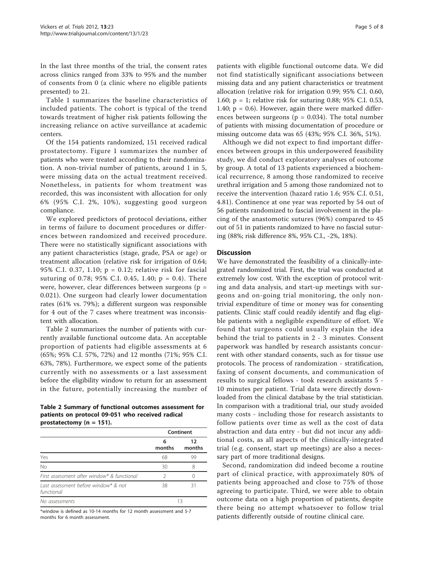In the last three months of the trial, the consent rates across clinics ranged from 33% to 95% and the number of consents from 0 (a clinic where no eligible patients presented) to 21.

Table [1](#page-3-0) summarizes the baseline characteristics of included patients. The cohort is typical of the trend towards treatment of higher risk patients following the increasing reliance on active surveillance at academic centers.

Of the 154 patients randomized, 151 received radical prostatectomy. Figure [1](#page-2-0) summarizes the number of patients who were treated according to their randomization. A non-trivial number of patients, around 1 in 5, were missing data on the actual treatment received. Nonetheless, in patients for whom treatment was recorded, this was inconsistent with allocation for only 6% (95% C.I. 2%, 10%), suggesting good surgeon compliance.

We explored predictors of protocol deviations, either in terms of failure to document procedures or differences between randomized and received procedure. There were no statistically significant associations with any patient characteristics (stage, grade, PSA or age) or treatment allocation (relative risk for irrigation of 0.64; 95% C.I. 0.37, 1.10; p = 0.12; relative risk for fascial suturing of 0.78; 95% C.I. 0.45, 1.40;  $p = 0.4$ ). There were, however, clear differences between surgeons ( $p =$ 0.021). One surgeon had clearly lower documentation rates (61% vs. 79%); a different surgeon was responsible for 4 out of the 7 cases where treatment was inconsistent with allocation.

Table 2 summarizes the number of patients with currently available functional outcome data. An acceptable proportion of patients had eligible assessments at 6 (65%; 95% C.I. 57%, 72%) and 12 months (71%; 95% C.I. 63%, 78%). Furthermore, we expect some of the patients currently with no assessments or a last assessment before the eligibility window to return for an assessment in the future, potentially increasing the number of

Table 2 Summary of functional outcomes assessment for patients on protocol 09-051 who received radical prostatectomy (n = 151).

|                                                    | Continent   |              |
|----------------------------------------------------|-------------|--------------|
|                                                    | 6<br>months | 12<br>months |
| Yes                                                | 68          | 99           |
| <b>No</b>                                          | 30          | 8            |
| First assessment after window* & functional        | 2           |              |
| Last assessment before window* & not<br>functional | 38          | 31           |
| No assessments                                     | 13          |              |

\*window is defined as 10-14 months for 12 month assessment and 5-7 months for 6 month assessment.

patients with eligible functional outcome data. We did not find statistically significant associations between missing data and any patient characteristics or treatment allocation (relative risk for irrigation 0.99; 95% C.I. 0.60, 1.60; p = 1; relative risk for suturing 0.88; 95% C.I. 0.53, 1.40;  $p = 0.6$ ). However, again there were marked differences between surgeons ( $p = 0.034$ ). The total number of patients with missing documentation of procedure or missing outcome data was 65 (43%; 95% C.I. 36%, 51%).

Although we did not expect to find important differences between groups in this underpowered feasibility study, we did conduct exploratory analyses of outcome by group. A total of 13 patients experienced a biochemical recurrence, 8 among those randomized to receive urethral irrigation and 5 among those randomized not to receive the intervention (hazard ratio 1.6; 95% C.I. 0.51, 4.81). Continence at one year was reported by 54 out of 56 patients randomized to fascial involvement in the placing of the anastomotic sutures (96%) compared to 45 out of 51 in patients randomized to have no fascial suturing (88%; risk difference 8%, 95% C.I., -2%, 18%).

# **Discussion**

We have demonstrated the feasibility of a clinically-integrated randomized trial. First, the trial was conducted at extremely low cost. With the exception of protocol writing and data analysis, and start-up meetings with surgeons and on-going trial monitoring, the only nontrivial expenditure of time or money was for consenting patients. Clinic staff could readily identify and flag eligible patients with a negligible expenditure of effort. We found that surgeons could usually explain the idea behind the trial to patients in 2 - 3 minutes. Consent paperwork was handled by research assistants concurrent with other standard consents, such as for tissue use protocols. The process of randomization - stratification, faxing of consent documents, and communication of results to surgical fellows - took research assistants 5 - 10 minutes per patient. Trial data were directly downloaded from the clinical database by the trial statistician. In comparison with a traditional trial, our study avoided many costs - including those for research assistants to follow patients over time as well as the cost of data abstraction and data entry - but did not incur any additional costs, as all aspects of the clinically-integrated trial (e.g. consent, start up meetings) are also a necessary part of more traditional designs.

Second, randomization did indeed become a routine part of clinical practice, with approximately 80% of patients being approached and close to 75% of those agreeing to participate. Third, we were able to obtain outcome data on a high proportion of patients, despite there being no attempt whatsoever to follow trial patients differently outside of routine clinical care.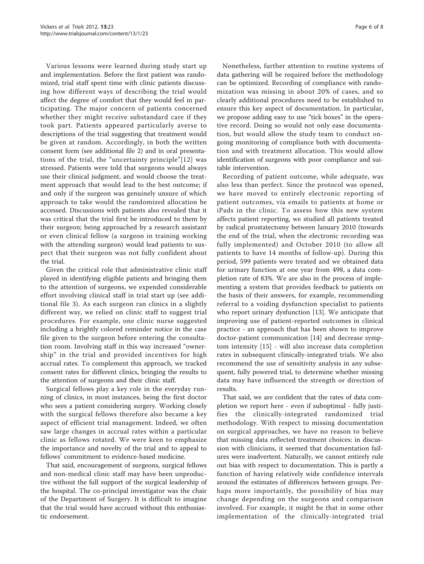Various lessons were learned during study start up and implementation. Before the first patient was randomized, trial staff spent time with clinic patients discussing how different ways of describing the trial would affect the degree of comfort that they would feel in participating. The major concern of patients concerned whether they might receive substandard care if they took part. Patients appeared particularly averse to descriptions of the trial suggesting that treatment would be given at random. Accordingly, in both the written consent form (see additional file [2\)](#page-6-0) and in oral presentations of the trial, the "uncertainty principle"[[12\]](#page-7-0) was stressed. Patients were told that surgeons would always use their clinical judgment, and would choose the treatment approach that would lead to the best outcome; if and only if the surgeon was genuinely unsure of which approach to take would the randomized allocation be accessed. Discussions with patients also revealed that it was critical that the trial first be introduced to them by their surgeon; being approached by a research assistant or even clinical fellow (a surgeon in training working with the attending surgeon) would lead patients to suspect that their surgeon was not fully confident about the trial.

Given the critical role that administrative clinic staff played in identifying eligible patients and bringing them to the attention of surgeons, we expended considerable effort involving clinical staff in trial start up (see additional file [3\)](#page-6-0). As each surgeon ran clinics in a slightly different way, we relied on clinic staff to suggest trial procedures. For example, one clinic nurse suggested including a brightly colored reminder notice in the case file given to the surgeon before entering the consultation room. Involving staff in this way increased "ownership" in the trial and provided incentives for high accrual rates. To complement this approach, we tracked consent rates for different clinics, bringing the results to the attention of surgeons and their clinic staff.

Surgical fellows play a key role in the everyday running of clinics, in most instances, being the first doctor who sees a patient considering surgery. Working closely with the surgical fellows therefore also became a key aspect of efficient trial management. Indeed, we often saw large changes in accrual rates within a particular clinic as fellows rotated. We were keen to emphasize the importance and novelty of the trial and to appeal to fellows' commitment to evidence-based medicine.

That said, encouragement of surgeons, surgical fellows and non-medical clinic staff may have been unproductive without the full support of the surgical leadership of the hospital. The co-principal investigator was the chair of the Department of Surgery. It is difficult to imagine that the trial would have accrued without this enthusiastic endorsement.

Nonetheless, further attention to routine systems of data gathering will be required before the methodology can be optimized. Recording of compliance with randomization was missing in about 20% of cases, and so clearly additional procedures need to be established to ensure this key aspect of documentation. In particular, we propose adding easy to use "tick boxes" in the operative record. Doing so would not only ease documentation, but would allow the study team to conduct ongoing monitoring of compliance both with documentation and with treatment allocation. This would allow identification of surgeons with poor compliance and suitable intervention.

Recording of patient outcome, while adequate, was also less than perfect. Since the protocol was opened, we have moved to entirely electronic reporting of patient outcomes, via emails to patients at home or iPads in the clinic. To assess how this new system affects patient reporting, we studied all patients treated by radical prostatectomy between January 2010 (towards the end of the trial, when the electronic recording was fully implemented) and October 2010 (to allow all patients to have 14 months of follow-up). During this period, 599 patients were treated and we obtained data for urinary function at one year from 498, a data completion rate of 83%. We are also in the process of implementing a system that provides feedback to patients on the basis of their answers, for example, recommending referral to a voiding dysfunction specialist to patients who report urinary dysfunction [\[13](#page-7-0)]. We anticipate that improving use of patient-reported outcomes in clinical practice - an approach that has been shown to improve doctor-patient communication [\[14](#page-7-0)] and decrease symptom intensity [[15\]](#page-7-0) - will also increase data completion rates in subsequent clinically-integrated trials. We also recommend the use of sensitivity analysis in any subsequent, fully powered trial, to determine whether missing data may have influenced the strength or direction of results.

That said, we are confident that the rates of data completion we report here - even if suboptimal - fully justifies the clinically-integrated randomized trial methodology. With respect to missing documentation on surgical approaches, we have no reason to believe that missing data reflected treatment choices: in discussion with clinicians, it seemed that documentation failures were inadvertent. Naturally, we cannot entirely rule out bias with respect to documentation. This is partly a function of having relatively wide confidence intervals around the estimates of differences between groups. Perhaps more importantly, the possibility of bias may change depending on the surgeons and comparison involved. For example, it might be that in some other implementation of the clinically-integrated trial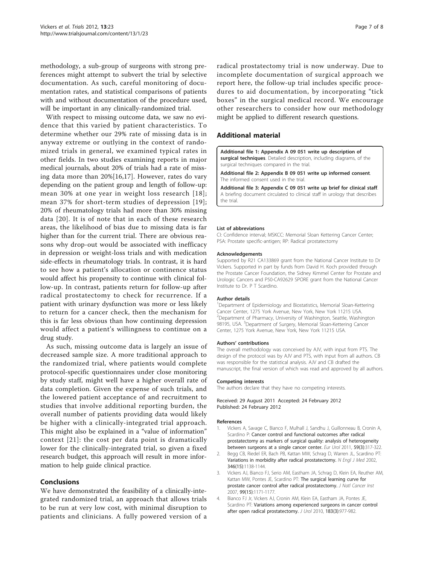<span id="page-6-0"></span>methodology, a sub-group of surgeons with strong preferences might attempt to subvert the trial by selective documentation. As such, careful monitoring of documentation rates, and statistical comparisons of patients with and without documentation of the procedure used, will be important in any clinically-randomized trial.

With respect to missing outcome data, we saw no evidence that this varied by patient characteristics. To determine whether our 29% rate of missing data is in anyway extreme or outlying in the context of randomized trials in general, we examined typical rates in other fields. In two studies examining reports in major medical journals, about 20% of trials had a rate of missing data more than 20%[[16,17](#page-7-0)]. However, rates do vary depending on the patient group and length of follow-up: mean 30% at one year in weight loss research [[18\]](#page-7-0); mean 37% for short-term studies of depression [[19\]](#page-7-0); 20% of rheumatology trials had more than 30% missing data [[20\]](#page-7-0). It is of note that in each of these research areas, the likelihood of bias due to missing data is far higher than for the current trial. There are obvious reasons why drop-out would be associated with inefficacy in depression or weight-loss trials and with medication side-effects in rheumatology trials. In contrast, it is hard to see how a patient's allocation or continence status would affect his propensity to continue with clinical follow-up. In contrast, patients return for follow-up after radical prostatectomy to check for recurrence. If a patient with urinary dysfunction was more or less likely to return for a cancer check, then the mechanism for this is far less obvious than how continuing depression would affect a patient's willingness to continue on a drug study.

As such, missing outcome data is largely an issue of decreased sample size. A more traditional approach to the randomized trial, where patients would complete protocol-specific questionnaires under close monitoring by study staff, might well have a higher overall rate of data completion. Given the expense of such trials, and the lowered patient acceptance of and recruitment to studies that involve additional reporting burden, the overall number of patients providing data would likely be higher with a clinically-integrated trial approach. This might also be explained in a "value of information" context [[21\]](#page-7-0): the cost per data point is dramatically lower for the clinically-integrated trial, so given a fixed research budget, this approach will result in more information to help guide clinical practice.

# Conclusions

We have demonstrated the feasibility of a clinically-integrated randomized trial, an approach that allows trials to be run at very low cost, with minimal disruption to patients and clinicians. A fully powered version of a

radical prostatectomy trial is now underway. Due to incomplete documentation of surgical approach we report here, the follow-up trial includes specific procedures to aid documentation, by incorporating "tick boxes" in the surgical medical record. We encourage other researchers to consider how our methodology might be applied to different research questions.

# Additional material

[Additional file 1: A](http://www.biomedcentral.com/content/supplementary/1745-6215-13-23-S1.PDF)ppendix A 09 051 write up description of surgical techniques. Detailed description, including diagrams, of the surgical techniques compared in the trial.

[Additional file 2: A](http://www.biomedcentral.com/content/supplementary/1745-6215-13-23-S2.PDF)ppendix B 09 051 write up informed consent. The informed consent used in the trial.

[Additional file 3: A](http://www.biomedcentral.com/content/supplementary/1745-6215-13-23-S3.PDF)ppendix C 09 051 write up brief for clinical staff. A briefing document circulated to clinical staff in urology that describes the trial.

#### List of abbreviations

CI: Confidence interval; MSKCC: Memorial Sloan Kettering Cancer Center; PSA: Prostate specific-antigen; RP: Radical prostatectomy

#### Acknowledgements

Supported by R21 CA133869 grant from the National Cancer Institute to Dr Vickers. Supported in part by funds from David H. Koch provided through the Prostate Cancer Foundation, the Sidney Kimmel Center for Prostate and Urologic Cancers and P50-CA92629 SPORE grant from the National Cancer Institute to Dr. P T Scardino.

#### Author details

<sup>1</sup>Department of Epidemiology and Biostatistics, Memorial Sloan-Kettering Cancer Center, 1275 York Avenue, New York, New York 11215 USA. <sup>2</sup>Department of Pharmacy, University of Washington, Seattle, Washington 98195, USA. <sup>3</sup>Department of Surgery, Memorial Sloan-Kettering Cancer Center, 1275 York Avenue, New York, New York 11215 USA.

#### Authors' contributions

The overall methodology was conceived by AJV, with input from PTS. The design of the protocol was by AJV and PTS, with input from all authors. CB was responsible for the statistical analysis. AJV and CB drafted the manuscript, the final version of which was read and approved by all authors.

#### Competing interests

The authors declare that they have no competing interests.

Received: 29 August 2011 Accepted: 24 February 2012 Published: 24 February 2012

#### References

- Vickers A, Savage C, Bianco F, Mulhall J, Sandhu J, Guillonneau B, Cronin A, Scardino P: [Cancer control and functional outcomes after radical](http://www.ncbi.nlm.nih.gov/pubmed/21095055?dopt=Abstract) [prostatectomy as markers of surgical quality: analysis of heterogeneity](http://www.ncbi.nlm.nih.gov/pubmed/21095055?dopt=Abstract) [between surgeons at a single cancer center.](http://www.ncbi.nlm.nih.gov/pubmed/21095055?dopt=Abstract) Eur Urol 2011, 59(3):317-322.
- 2. Begg CB, Riedel ER, Bach PB, Kattan MW, Schrag D, Warren JL, Scardino PT: [Variations in morbidity after radical prostatectomy.](http://www.ncbi.nlm.nih.gov/pubmed/11948274?dopt=Abstract) N Engl J Med 2002, 346(15):1138-1144.
- 3. Vickers AJ, Bianco FJ, Serio AM, Eastham JA, Schrag D, Klein EA, Reuther AM, Kattan MW, Pontes JE, Scardino PT: [The surgical learning curve for](http://www.ncbi.nlm.nih.gov/pubmed/17652279?dopt=Abstract) [prostate cancer control after radical prostatectomy.](http://www.ncbi.nlm.nih.gov/pubmed/17652279?dopt=Abstract) J Natl Cancer Inst 2007, 99(15):1171-1177.
- 4. Bianco FJ Jr, Vickers AJ, Cronin AM, Klein EA, Eastham JA, Pontes JE, Scardino PT: [Variations among experienced surgeons in cancer control](http://www.ncbi.nlm.nih.gov/pubmed/20083278?dopt=Abstract) [after open radical prostatectomy.](http://www.ncbi.nlm.nih.gov/pubmed/20083278?dopt=Abstract) J Urol 2010, 183(3):977-982.